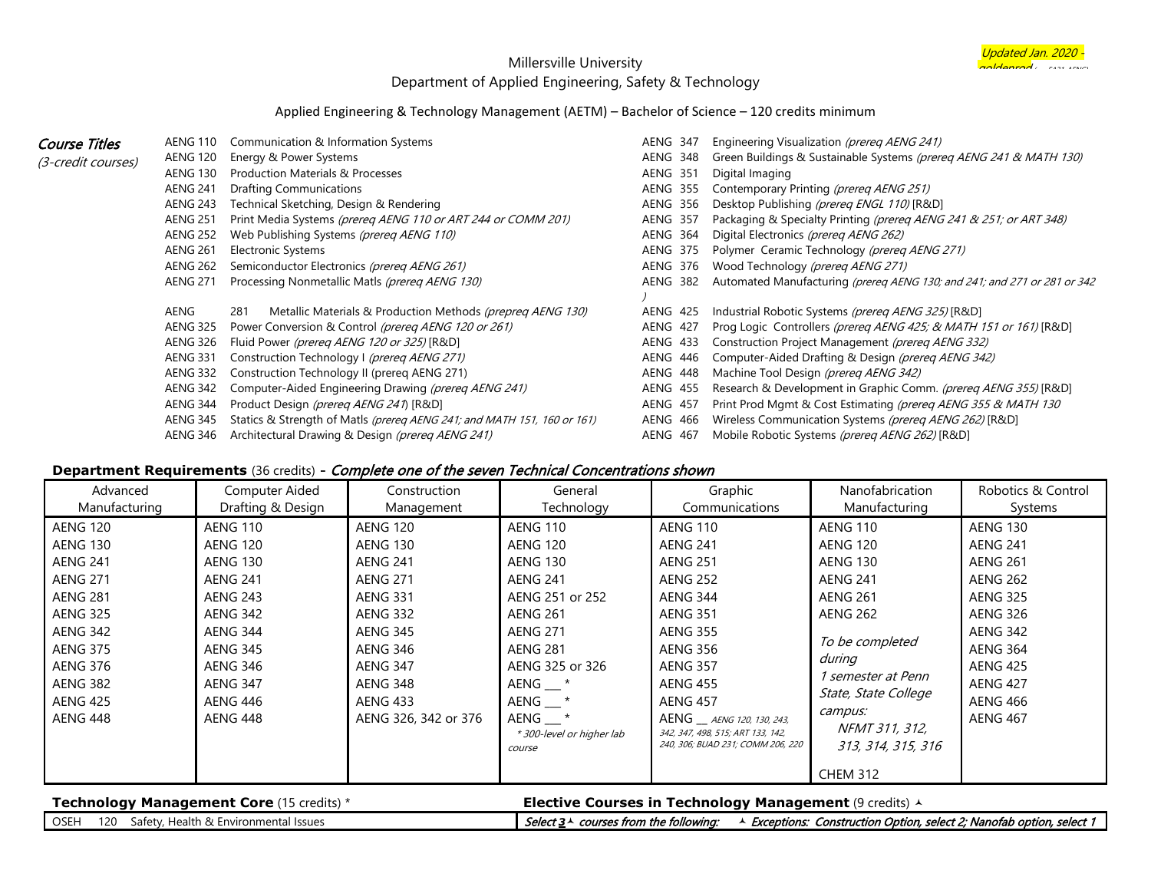# Millersville University Department of Applied Engineering, Safety & Technology

## Applied Engineering & Technology Management (AETM) – Bachelor of Science – 120 credits minimum

| <b>Course Titles</b> | AENG 110        | Communication & Information Systems                                     | AENG 347        | Engineering Visualization (prereg AENG 241)                              |
|----------------------|-----------------|-------------------------------------------------------------------------|-----------------|--------------------------------------------------------------------------|
| (3-credit courses)   | AENG 120        | Energy & Power Systems                                                  | AENG 348        | Green Buildings & Sustainable Systems (prereg AENG 241 & MATH 130)       |
|                      | AENG 130        | <b>Production Materials &amp; Processes</b>                             | <b>AENG 351</b> | Digital Imaging                                                          |
|                      | <b>AENG 241</b> | <b>Drafting Communications</b>                                          | AENG 355        | Contemporary Printing (prereg AENG 251)                                  |
|                      | AENG 243        | Technical Sketching, Design & Rendering                                 | AENG 356        | Desktop Publishing (prereg ENGL 110) [R&D]                               |
|                      | <b>AENG 251</b> | Print Media Systems (prereq AENG 110 or ART 244 or COMM 201)            | <b>AENG 357</b> | Packaging & Specialty Printing (prereg AENG 241 & 251; or ART 348)       |
|                      | <b>AENG 252</b> | Web Publishing Systems (prereg AENG 110)                                | AENG 364        | Digital Electronics (prereg AENG 262)                                    |
|                      | <b>AENG 261</b> | Electronic Systems                                                      | AENG 375        | Polymer Ceramic Technology (prereq AENG 271)                             |
|                      | <b>AENG 262</b> | Semiconductor Electronics (prereg AENG 261)                             | AENG 376        | Wood Technology (prereg AENG 271)                                        |
|                      | <b>AENG 271</b> | Processing Nonmetallic Matls (prereq AENG 130)                          | AENG 382        | Automated Manufacturing (prereq AENG 130; and 241; and 271 or 281 or 342 |
|                      |                 |                                                                         |                 |                                                                          |
|                      | AENG            | Metallic Materials & Production Methods (prepreg AENG 130)<br>281       | AENG 425        | Industrial Robotic Systems (prereq AENG 325) [R&D]                       |
|                      | <b>AENG 325</b> | Power Conversion & Control (prereq AENG 120 or 261)                     | <b>AENG 427</b> | Prog Logic Controllers (prereq AENG 425; & MATH 151 or 161) [R&D]        |
|                      | AENG 326        | Fluid Power (prereg AENG 120 or 325) [R&D]                              | AENG 433        | Construction Project Management (prereq AENG 332)                        |
|                      | <b>AENG 331</b> | Construction Technology   (prereg AENG 271)                             | AENG 446        | Computer-Aided Drafting & Design (prereg AENG 342)                       |
|                      | AENG 332        | Construction Technology II (prereq AENG 271)                            | AENG 448        | Machine Tool Design (prereq AENG 342)                                    |
|                      | AENG 342        | Computer-Aided Engineering Drawing (prereg AENG 241)                    | <b>AENG 455</b> | Research & Development in Graphic Comm. (prereq AENG 355) [R&D]          |
|                      | AENG 344        | Product Design (prereg AENG 241) [R&D]                                  | <b>AENG 457</b> | Print Prod Mgmt & Cost Estimating (prereq AENG 355 & MATH 130            |
|                      | AENG 345        | Statics & Strength of Matls (prereg AENG 241; and MATH 151, 160 or 161) | AENG 466        | Wireless Communication Systems (prereg AENG 262) [R&D]                   |
|                      |                 | AENG 346 Architectural Drawing & Design (prereq AENG 241)               | <b>AENG 467</b> | Mobile Robotic Systems (prereq AENG 262) [R&D]                           |

# **Department Requirements** (36 credits) - *Complete one of the seven Technical Concentrations shown*

| Advanced        | Computer Aided    | Construction         | General                   | Graphic                                                                | Nanofabrication      | Robotics & Control |
|-----------------|-------------------|----------------------|---------------------------|------------------------------------------------------------------------|----------------------|--------------------|
| Manufacturing   | Drafting & Design | Management           | Technology                | Communications                                                         | Manufacturing        | Systems            |
| <b>AENG 120</b> | <b>AENG 110</b>   | <b>AENG 120</b>      | <b>AENG 110</b>           | <b>AENG 110</b>                                                        | <b>AENG 110</b>      | <b>AENG 130</b>    |
| <b>AENG 130</b> | <b>AENG 120</b>   | <b>AENG 130</b>      | <b>AENG 120</b>           | <b>AENG 241</b>                                                        | <b>AENG 120</b>      | <b>AENG 241</b>    |
| <b>AENG 241</b> | <b>AENG 130</b>   | <b>AENG 241</b>      | <b>AENG 130</b>           | <b>AENG 251</b>                                                        | <b>AENG 130</b>      | <b>AENG 261</b>    |
| <b>AENG 271</b> | <b>AENG 241</b>   | <b>AENG 271</b>      | <b>AENG 241</b>           | <b>AENG 252</b>                                                        | <b>AENG 241</b>      | <b>AENG 262</b>    |
| <b>AENG 281</b> | <b>AENG 243</b>   | <b>AENG 331</b>      | AENG 251 or 252           | AENG 344                                                               | <b>AENG 261</b>      | <b>AENG 325</b>    |
| <b>AENG 325</b> | <b>AENG 342</b>   | <b>AENG 332</b>      | <b>AENG 261</b>           | <b>AENG 351</b>                                                        | <b>AENG 262</b>      | <b>AENG 326</b>    |
| AENG 342        | <b>AENG 344</b>   | <b>AENG 345</b>      | <b>AENG 271</b>           | <b>AENG 355</b>                                                        |                      | <b>AENG 342</b>    |
| AENG 375        | <b>AENG 345</b>   | <b>AENG 346</b>      | <b>AENG 281</b>           | <b>AENG 356</b>                                                        | To be completed      | <b>AENG 364</b>    |
| AENG 376        | <b>AENG 346</b>   | <b>AENG 347</b>      | AENG 325 or 326           | <b>AENG 357</b>                                                        | during               | <b>AENG 425</b>    |
| <b>AENG 382</b> | AENG 347          | <b>AENG 348</b>      | AENG *                    | <b>AENG 455</b>                                                        | 1 semester at Penn   | <b>AENG 427</b>    |
| <b>AENG 425</b> | AENG 446          | AENG 433             | AENG *                    | <b>AENG 457</b>                                                        | State, State College | <b>AENG 466</b>    |
| AENG 448        | AENG 448          | AENG 326, 342 or 376 | AENG *                    | AENG __ AENG 120, 130, 243,                                            | campus:              | <b>AENG 467</b>    |
|                 |                   |                      | * 300-level or higher lab | 342, 347, 498, 515; ART 133, 142,<br>240, 306; BUAD 231; COMM 206, 220 | NFMT 311, 312,       |                    |
|                 |                   |                      | course                    |                                                                        | 313, 314, 315, 316   |                    |
|                 |                   |                      |                           |                                                                        | <b>CHEM 312</b>      |                    |

| <b>Technology Management Core (15 credits) *</b> | <b>Elective Courses in Technology Management</b> (9 credits) $\lambda$                                                          |  |  |  |  |  |
|--------------------------------------------------|---------------------------------------------------------------------------------------------------------------------------------|--|--|--|--|--|
| OSEH 120 Safety, Health & Environmental Issues   | Select 3 $\lambda$ courses from the following:<br>$\lambda$ Exceptions: Construction Option, select 2; Nanofab option, select 1 |  |  |  |  |  |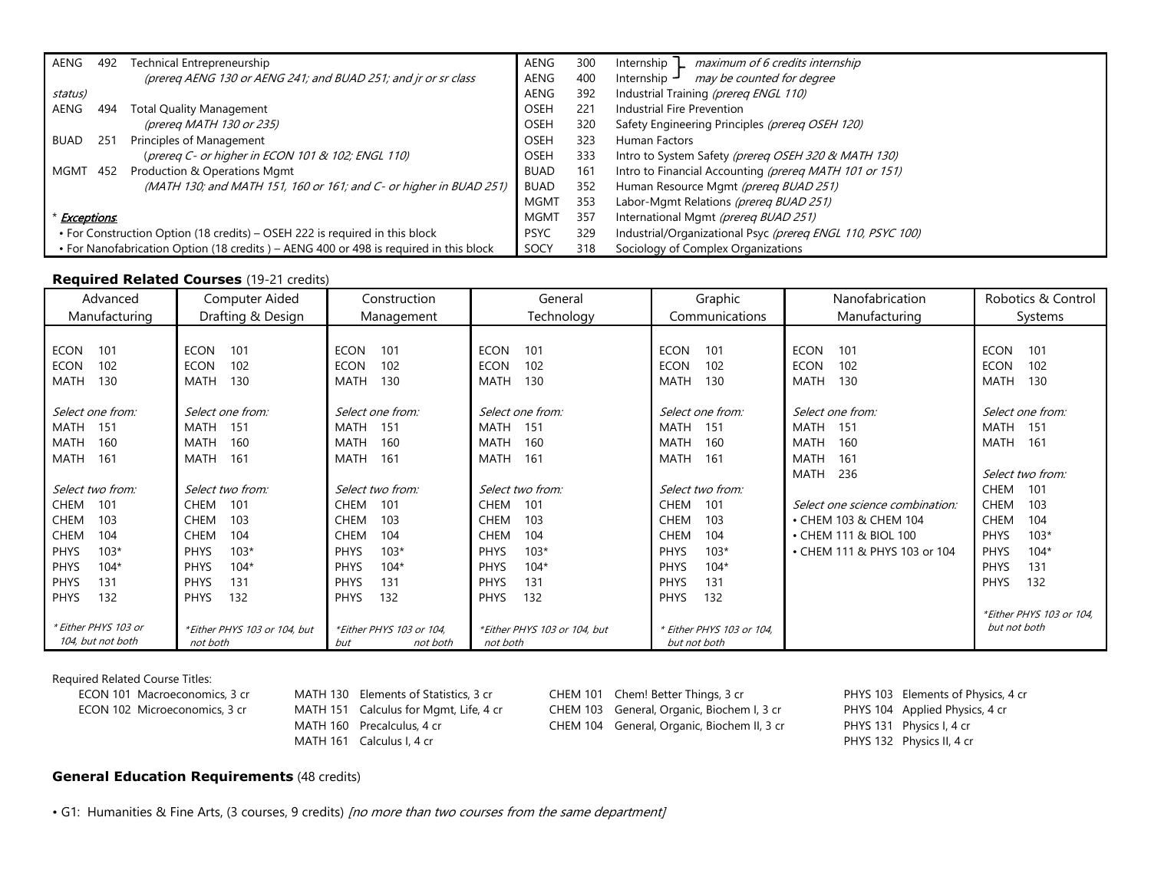| AENG                                                                                  | 492 | Technical Entrepreneurship                                         | AENG        | 300 | maximum of 6 credits internship<br>Internship              |
|---------------------------------------------------------------------------------------|-----|--------------------------------------------------------------------|-------------|-----|------------------------------------------------------------|
|                                                                                       |     | (prereq AENG 130 or AENG 241; and BUAD 251; and jr or sr class     | AENG        | 400 | may be counted for degree<br>Internship $-$                |
| status)                                                                               |     |                                                                    | AENG        | 392 | Industrial Training (prereg ENGL 110)                      |
| AENG                                                                                  | 494 | <b>Total Quality Management</b>                                    | <b>OSEH</b> | 221 | Industrial Fire Prevention                                 |
|                                                                                       |     | (prereg MATH 130 or 235)                                           | <b>OSEH</b> | 320 | Safety Engineering Principles (prereg OSEH 120)            |
| BUAD                                                                                  | 251 | Principles of Management                                           | <b>OSEH</b> | 323 | Human Factors                                              |
|                                                                                       |     | (prereg C- or higher in ECON 101 & 102; ENGL 110)                  | <b>OSEH</b> | 333 | Intro to System Safety (prereq OSEH 320 & MATH 130)        |
| <b>MGMT 452</b>                                                                       |     | Production & Operations Mgmt                                       | <b>BUAD</b> | 161 | Intro to Financial Accounting (prereq MATH 101 or 151)     |
|                                                                                       |     | (MATH 130; and MATH 151, 160 or 161; and C- or higher in BUAD 251) | <b>BUAD</b> | 352 | Human Resource Mgmt (prereq BUAD 251)                      |
|                                                                                       |     |                                                                    | MGMT        | 353 | Labor-Mgmt Relations (prereq BUAD 251)                     |
| <u>Exceptions.</u>                                                                    |     |                                                                    | MGMT        | 357 | International Mgmt (prereg BUAD 251)                       |
| • For Construction Option (18 credits) – OSEH 222 is required in this block           |     |                                                                    | <b>PSYC</b> | 329 | Industrial/Organizational Psyc (prereq ENGL 110, PSYC 100) |
| • For Nanofabrication Option (18 credits) – AENG 400 or 498 is required in this block |     |                                                                    | SOCY        | 318 | Sociology of Complex Organizations                         |

#### **Required Related Courses** (19-21 credits)

| Advanced             | Computer Aided               | Construction             | General                      | Graphic                   | Nanofabrication                 | Robotics & Control       |
|----------------------|------------------------------|--------------------------|------------------------------|---------------------------|---------------------------------|--------------------------|
| Manufacturing        | Drafting & Design            | Management               | Technology                   | Communications            | Manufacturing                   | Systems                  |
|                      |                              |                          |                              |                           |                                 |                          |
| <b>ECON</b>          | 101                          | 101                      | <b>ECON</b>                  | ECON                      | ECON                            | 101                      |
| 101                  | <b>ECON</b>                  | ECON                     | 101                          | 101                       | 101                             | ECON                     |
| 102                  | 102                          | 102                      | 102                          | ECON                      | ECON                            | 102                      |
| <b>ECON</b>          | <b>ECON</b>                  | <b>ECON</b>              | <b>ECON</b>                  | 102                       | 102                             | <b>ECON</b>              |
| 130                  | 130                          | 130                      | 130                          | 130                       | 130                             | <b>MATH</b>              |
| MATH                 | <b>MATH</b>                  | <b>MATH</b>              | MATH                         | MATH                      | <b>MATH</b>                     | 130                      |
|                      |                              |                          |                              |                           |                                 |                          |
| Select one from:     | Select one from:             | Select one from:         | Select one from:             | Select one from:          | Select one from:                | Select one from:         |
| 151                  | MATH                         | 151                      | 151                          | MATH                      | <b>MATH</b>                     | <b>MATH</b>              |
| <b>MATH</b>          | 151                          | <b>MATH</b>              | MATH                         | 151                       | 151                             | 151                      |
| MATH                 | <b>MATH</b>                  | 160                      | 160                          | <b>MATH</b>               | <b>MATH</b>                     | <b>MATH</b>              |
| 160                  | 160                          | <b>MATH</b>              | MATH                         | 160                       | 160                             | -161                     |
| <b>MATH</b>          | <b>MATH</b>                  | 161                      | 161                          | 161                       | <b>MATH</b>                     |                          |
| 161                  | 161                          | <b>MATH</b>              | MATH                         | MATH                      | 161                             |                          |
|                      |                              |                          |                              |                           | 236<br><b>MATH</b>              | Select two from:         |
| Select two from:     | Select two from:             | Select two from:         | Select two from:             | Select two from:          |                                 | <b>CHEM</b><br>101       |
| 101                  | <b>CHEM</b>                  | 101                      | 101                          | 101                       | Select one science combination: | <b>CHEM</b>              |
| <b>CHEM</b>          | 101                          | <b>CHEM</b>              | <b>CHEM</b>                  | <b>CHEM</b>               |                                 | 103                      |
| 103                  | 103                          | 103                      | 103                          | <b>CHEM</b>               | • CHEM 103 & CHEM 104           | <b>CHEM</b>              |
| CHEM                 | <b>CHEM</b>                  | <b>CHEM</b>              | <b>CHEM</b>                  | 103                       |                                 | 104                      |
| 104                  | 104                          | 104                      | 104                          | <b>CHEM</b>               | • CHEM 111 & BIOL 100           | $103*$                   |
| <b>CHEM</b>          | <b>CHEM</b>                  | <b>CHEM</b>              | <b>CHEM</b>                  | 104                       |                                 | <b>PHYS</b>              |
| $103*$               | $103*$                       | $103*$                   | $103*$                       | $103*$                    | • CHEM 111 & PHYS 103 or 104    | $104*$                   |
| <b>PHYS</b>          | <b>PHYS</b>                  | <b>PHYS</b>              | <b>PHYS</b>                  | <b>PHYS</b>               |                                 | <b>PHYS</b>              |
| $104*$               | $104*$                       | $104*$                   | $104*$                       | <b>PHYS</b>               |                                 | 131                      |
| <b>PHYS</b>          | <b>PHYS</b>                  | <b>PHYS</b>              | <b>PHYS</b>                  | $104*$                    |                                 | <b>PHYS</b>              |
| 131                  | 131                          | 131                      | 131                          | 131                       |                                 | <b>PHYS</b>              |
| <b>PHYS</b>          | <b>PHYS</b>                  | <b>PHYS</b>              | <b>PHYS</b>                  | <b>PHYS</b>               |                                 | 132                      |
| 132<br><b>PHYS</b>   | 132<br><b>PHYS</b>           | 132<br><b>PHYS</b>       | 132<br><b>PHYS</b>           | 132<br><b>PHYS</b>        |                                 |                          |
|                      |                              |                          |                              |                           |                                 | *Either PHYS 103 or 104. |
| * Either PHYS 103 or | *Either PHYS 103 or 104, but | *Either PHYS 103 or 104, | *Either PHYS 103 or 104, but | * Either PHYS 103 or 104. |                                 | but not both             |
| 104, but not both    | not both                     | not both<br>but          | not both                     | but not both              |                                 |                          |

#### Required Related Course Titles:

| ECON 101 Macroeconomics, 3 cr |
|-------------------------------|
| ECON 102 Microeconomics, 3 cr |

MATH 161 Calculus I, 4 cr **PHYS 132 Physics II, 4 cr** PHYS 132 Physics II, 4 cr

MATH 130 Elements of Statistics, 3 cr CHEM 101 Chem! Better Things, 3 cr PHYS 103 Elements of Physics, 4 cr CHEM 103 General, Organic, Biochem I, 3 cr PHYS 104 Applied Physics, 4 cr MATH 151 Calculus for Mgmt, Life, 4 cr C CHEM 103 General, Organic, Biochem I, 3 cr PHYS 104 Applied Physic<br>CHEM 104 General, Organic, Biochem II, 3 cr PHYS 131 Physics I, 4 cr MATH 160 Precalculus, 4 cr CHEM 104 General, Organic, Biochem II, 3 cr

### **General Education Requirements** (48 credits)

• G1: Humanities & Fine Arts, (3 courses, 9 credits) [no more than two courses from the same department]